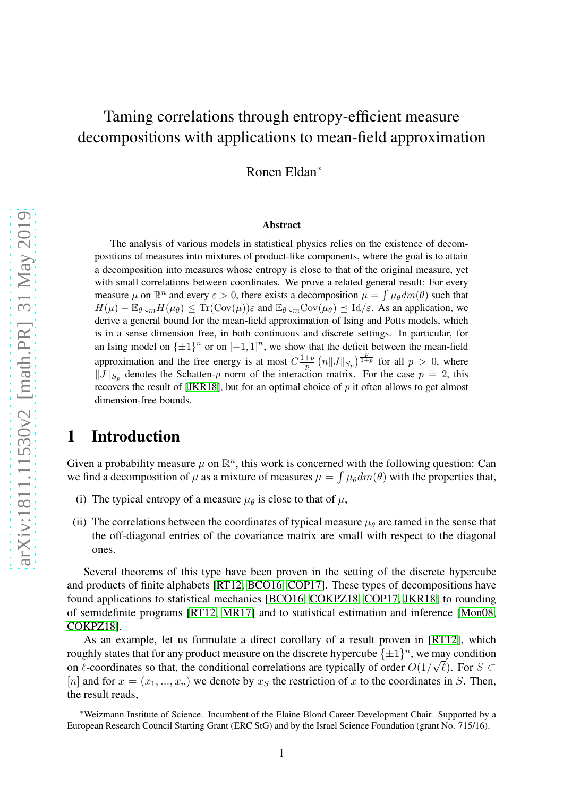# Taming correlations through entropy-efficient measure decompositions with applications to mean-field approximation

Ronen Eldan<sup>∗</sup>

#### **Abstract**

The analysis of various models in statistical physics relies on the existence of decompositions of measures into mixtures of product-like components, where the goal is to attain a decomposition into measures whose entropy is close to that of the original measure, yet with small correlations between coordinates. We prove a related general result: For every measure  $\mu$  on  $\mathbb{R}^n$  and every  $\varepsilon > 0$ , there exists a decomposition  $\mu = \int \mu_{\theta} dm(\theta)$  such that  $H(\mu) - \mathbb{E}_{\theta \sim m} H(\mu_{\theta}) \leq \text{Tr}(\text{Cov}(\mu)) \varepsilon$  and  $\mathbb{E}_{\theta \sim m} \text{Cov}(\mu_{\theta}) \leq \text{Id}/\varepsilon$ . As an application, we derive a general bound for the mean-field approximation of Ising and Potts models, which is in a sense dimension free, in both continuous and discrete settings. In particular, for an Ising model on  $\{\pm 1\}^n$  or on  $[-1, 1]^n$ , we show that the deficit between the mean-field approximation and the free energy is at most  $C^{\frac{1+p}{n}}$  $\frac{p}{p}$   $\left(n\|J\|_{S_p}\right)^{\frac{p}{1+p}}$  for all  $p > 0$ , where  $||J||_{S_p}$  denotes the Schatten-p norm of the interaction matrix. For the case  $p = 2$ , this recovers the result of [\[JKR18\]](#page-15-0), but for an optimal choice of  $p$  it often allows to get almost dimension-free bounds.

### 1 Introduction

Given a probability measure  $\mu$  on  $\mathbb{R}^n$ , this work is concerned with the following question: Can we find a decomposition of  $\mu$  as a mixture of measures  $\mu = \int \mu_{\theta} dm(\theta)$  with the properties that,

- (i) The typical entropy of a measure  $\mu_{\theta}$  is close to that of  $\mu$ ,
- (ii) The correlations between the coordinates of typical measure  $\mu_{\theta}$  are tamed in the sense that the off-diagonal entries of the covariance matrix are small with respect to the diagonal ones.

Several theorems of this type have been proven in the setting of the discrete hypercube and products of finite alphabets [\[RT12,](#page-16-0) [BCO16,](#page-14-0) [COP17\]](#page-15-1). These types of decompositions have found applications to statistical mechanics [\[BCO16,](#page-14-0) [COKPZ18,](#page-14-1) [COP17,](#page-15-1) [JKR18\]](#page-15-0) to rounding of semidefinite programs [\[RT12,](#page-16-0) [MR17\]](#page-15-2) and to statistical estimation and inference [\[Mon08,](#page-15-3) [COKPZ18\]](#page-14-1).

As an example, let us formulate a direct corollary of a result proven in [\[RT12\]](#page-16-0), which roughly states that for any product measure on the discrete hypercube  $\{\pm 1\}^n$ , we may condition on  $\ell$ -coordinates so that, the conditional correlations are typically of order  $O(1/\sqrt{\ell})$ . For  $S \subset$ [n] and for  $x = (x_1, ..., x_n)$  we denote by  $x_S$  the restriction of x to the coordinates in S. Then, the result reads,

<sup>∗</sup>Weizmann Institute of Science. Incumbent of the Elaine Blond Career Development Chair. Supported by a European Research Council Starting Grant (ERC StG) and by the Israel Science Foundation (grant No. 715/16).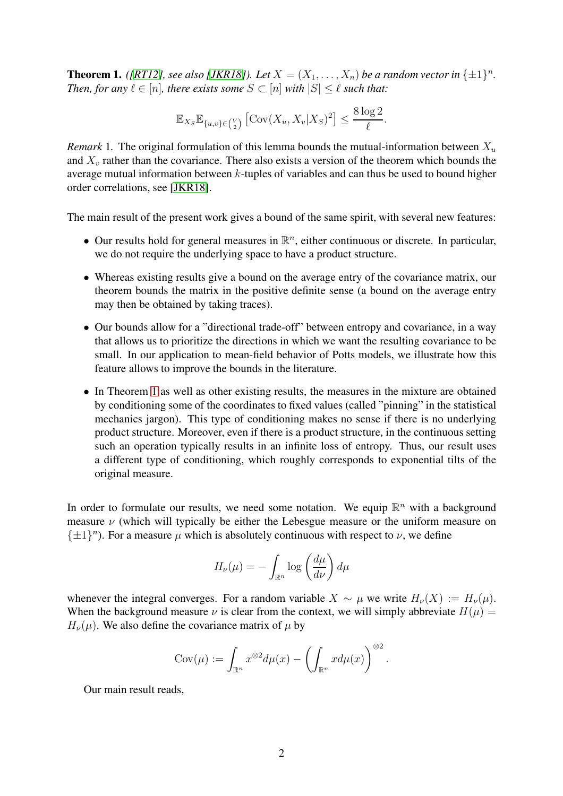<span id="page-1-0"></span>**Theorem 1.** *([\[RT12\]](#page-16-0), see also [\[JKR18\]](#page-15-0)). Let*  $X = (X_1, \ldots, X_n)$  *be a random vector in*  $\{\pm 1\}^n$ *. Then, for any*  $\ell \in [n]$ *, there exists some*  $S \subset [n]$  *with*  $|S| \leq \ell$  *such that:* 

$$
\mathbb{E}_{X_S} \mathbb{E}_{\{u,v\} \in \binom{V}{2}} \left[ \text{Cov}(X_u, X_v | X_S)^2 \right] \le \frac{8 \log 2}{\ell}.
$$

*Remark* 1. The original formulation of this lemma bounds the mutual-information between  $X_u$ and  $X<sub>v</sub>$  rather than the covariance. There also exists a version of the theorem which bounds the average mutual information between  $k$ -tuples of variables and can thus be used to bound higher order correlations, see [\[JKR18\]](#page-15-0).

The main result of the present work gives a bound of the same spirit, with several new features:

- Our results hold for general measures in  $\mathbb{R}^n$ , either continuous or discrete. In particular, we do not require the underlying space to have a product structure.
- Whereas existing results give a bound on the average entry of the covariance matrix, our theorem bounds the matrix in the positive definite sense (a bound on the average entry may then be obtained by taking traces).
- Our bounds allow for a "directional trade-off" between entropy and covariance, in a way that allows us to prioritize the directions in which we want the resulting covariance to be small. In our application to mean-field behavior of Potts models, we illustrate how this feature allows to improve the bounds in the literature.
- In Theorem [1](#page-1-0) as well as other existing results, the measures in the mixture are obtained by conditioning some of the coordinates to fixed values (called "pinning" in the statistical mechanics jargon). This type of conditioning makes no sense if there is no underlying product structure. Moreover, even if there is a product structure, in the continuous setting such an operation typically results in an infinite loss of entropy. Thus, our result uses a different type of conditioning, which roughly corresponds to exponential tilts of the original measure.

In order to formulate our results, we need some notation. We equip  $\mathbb{R}^n$  with a background measure  $\nu$  (which will typically be either the Lebesgue measure or the uniform measure on  $\{\pm 1\}^n$ ). For a measure  $\mu$  which is absolutely continuous with respect to  $\nu$ , we define

$$
H_{\nu}(\mu) = -\int_{\mathbb{R}^n} \log \left( \frac{d\mu}{d\nu} \right) d\mu
$$

whenever the integral converges. For a random variable  $X \sim \mu$  we write  $H_{\nu}(X) := H_{\nu}(\mu)$ . When the background measure  $\nu$  is clear from the context, we will simply abbreviate  $H(\mu) =$  $H_{\nu}(\mu)$ . We also define the covariance matrix of  $\mu$  by

$$
Cov(\mu) := \int_{\mathbb{R}^n} x^{\otimes 2} d\mu(x) - \left( \int_{\mathbb{R}^n} x d\mu(x) \right)^{\otimes 2}.
$$

Our main result reads,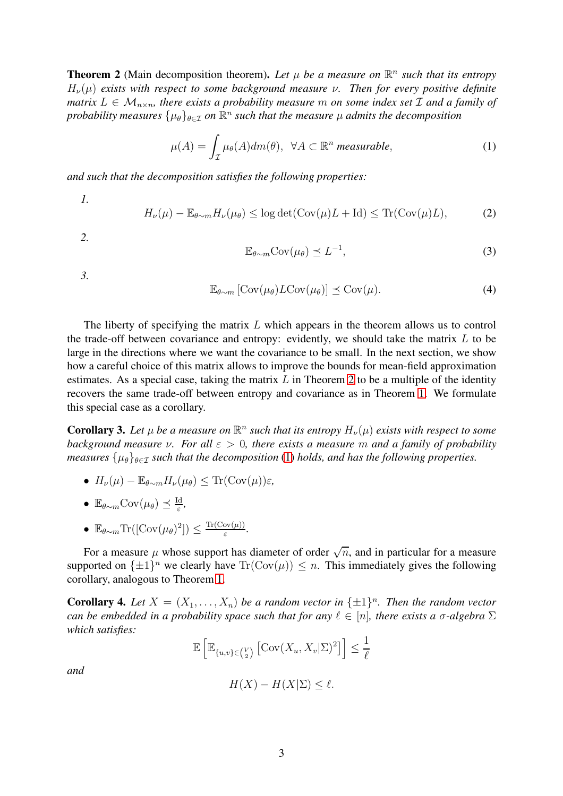<span id="page-2-0"></span>**Theorem 2** (Main decomposition theorem). Let  $\mu$  be a measure on  $\mathbb{R}^n$  such that its entropy  $H_{\nu}(\mu)$  *exists with respect to some background measure*  $\nu$ . Then for every positive definite *matrix*  $L \in \mathcal{M}_{n \times n}$ , there exists a probability measure m on some index set  $\mathcal{I}$  and a family of probability measures  $\{\mu_\theta\}_{\theta \in \mathcal{I}}$  on  $\mathbb{R}^n$  such that the measure  $\mu$  admits the decomposition

<span id="page-2-1"></span>
$$
\mu(A) = \int_{\mathcal{I}} \mu_{\theta}(A) dm(\theta), \ \ \forall A \subset \mathbb{R}^n \ \text{measurable}, \tag{1}
$$

*and such that the decomposition satisfies the following properties:*

*1.*

<span id="page-2-2"></span>
$$
H_{\nu}(\mu) - \mathbb{E}_{\theta \sim m} H_{\nu}(\mu_{\theta}) \le \log \det(\text{Cov}(\mu)L + \text{Id}) \le \text{Tr}(\text{Cov}(\mu)L),\tag{2}
$$

*2.*

<span id="page-2-3"></span>
$$
\mathbb{E}_{\theta \sim m} \text{Cov}(\mu_{\theta}) \preceq L^{-1},\tag{3}
$$

*3.*

<span id="page-2-4"></span>
$$
\mathbb{E}_{\theta \sim m} \left[ \text{Cov}(\mu_{\theta}) L \text{Cov}(\mu_{\theta}) \right] \leq \text{Cov}(\mu). \tag{4}
$$

The liberty of specifying the matrix  $L$  which appears in the theorem allows us to control the trade-off between covariance and entropy: evidently, we should take the matrix  $L$  to be large in the directions where we want the covariance to be small. In the next section, we show how a careful choice of this matrix allows to improve the bounds for mean-field approximation estimates. As a special case, taking the matrix  $L$  in Theorem [2](#page-2-0) to be a multiple of the identity recovers the same trade-off between entropy and covariance as in Theorem [1.](#page-1-0) We formulate this special case as a corollary.

**Corollary 3.** Let  $\mu$  be a measure on  $\mathbb{R}^n$  such that its entropy  $H_{\nu}(\mu)$  exists with respect to some *background measure* ν*. For all* ε > 0*, there exists a measure* m *and a family of probability measures*  $\{\mu_{\theta}\}_{{\theta \in \mathcal{I}}}$  *such that the decomposition* [\(1\)](#page-2-1) *holds, and has the following properties.* 

- $H_{\nu}(\mu) \mathbb{E}_{\theta \sim m} H_{\nu}(\mu_{\theta}) \leq \text{Tr}(\text{Cov}(\mu))\varepsilon$ ,
- $\mathbb{E}_{\theta \sim m} \text{Cov}(\mu_{\theta}) \preceq \frac{\text{Id}}{\varepsilon}$ ε *,*
- $\mathbb{E}_{\theta \sim m} \text{Tr}([\text{Cov}(\mu_\theta)^2]) \leq \frac{\text{Tr}(\text{Cov}(\mu))}{\varepsilon}$  $\frac{\partial v(\mu)}{\varepsilon}$ .

For a measure  $\mu$  whose support has diameter of order  $\sqrt{n}$ , and in particular for a measure supported on  $\{\pm 1\}^n$  we clearly have  $\text{Tr}(\text{Cov}(\mu)) \leq n$ . This immediately gives the following corollary, analogous to Theorem [1.](#page-1-0)

**Corollary 4.** Let  $X = (X_1, \ldots, X_n)$  be a random vector in  $\{\pm 1\}^n$ . Then the random vector *can be embedded in a probability space such that for any*  $\ell \in [n]$ , there exists a  $\sigma$ -algebra  $\Sigma$ *which satisfies:*

$$
\mathbb{E}\left[\mathbb{E}_{\{u,v\}\in\binom{V}{2}}\left[\mathrm{Cov}(X_u,X_v|\Sigma)^2\right]\right] \le \frac{1}{\ell}
$$

*and*

$$
H(X) - H(X|\Sigma) \le \ell.
$$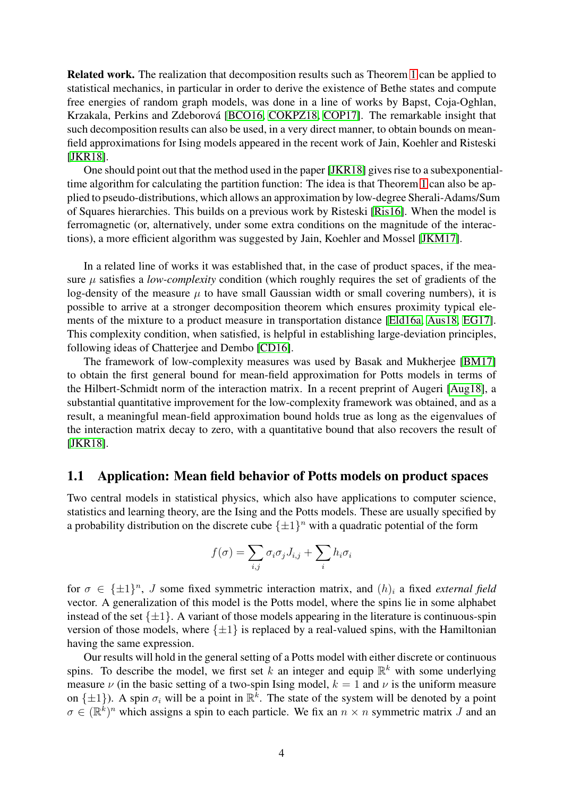Related work. The realization that decomposition results such as Theorem [1](#page-1-0) can be applied to statistical mechanics, in particular in order to derive the existence of Bethe states and compute free energies of random graph models, was done in a line of works by Bapst, Coja-Oghlan, Krzakala, Perkins and Zdeborová [\[BCO16,](#page-14-0) [COKPZ18,](#page-14-1) [COP17\]](#page-15-1). The remarkable insight that such decomposition results can also be used, in a very direct manner, to obtain bounds on meanfield approximations for Ising models appeared in the recent work of Jain, Koehler and Risteski [\[JKR18\]](#page-15-0).

One should point out that the method used in the paper [\[JKR18\]](#page-15-0) gives rise to a subexponentialtime algorithm for calculating the partition function: The idea is that Theorem [1](#page-1-0) can also be applied to pseudo-distributions, which allows an approximation by low-degree Sherali-Adams/Sum of Squares hierarchies. This builds on a previous work by Risteski [\[Ris16\]](#page-15-4). When the model is ferromagnetic (or, alternatively, under some extra conditions on the magnitude of the interactions), a more efficient algorithm was suggested by Jain, Koehler and Mossel [\[JKM17\]](#page-15-5).

In a related line of works it was established that, in the case of product spaces, if the measure  $\mu$  satisfies a *low-complexity* condition (which roughly requires the set of gradients of the log-density of the measure  $\mu$  to have small Gaussian width or small covering numbers), it is possible to arrive at a stronger decomposition theorem which ensures proximity typical elements of the mixture to a product measure in transportation distance [\[Eld16a,](#page-15-6) [Aus18,](#page-14-2) [EG17\]](#page-15-7). This complexity condition, when satisfied, is helpful in establishing large-deviation principles, following ideas of Chatterjee and Dembo [\[CD16\]](#page-14-3).

The framework of low-complexity measures was used by Basak and Mukherjee [\[BM17\]](#page-14-4) to obtain the first general bound for mean-field approximation for Potts models in terms of the Hilbert-Schmidt norm of the interaction matrix. In a recent preprint of Augeri [\[Aug18\]](#page-14-5), a substantial quantitative improvement for the low-complexity framework was obtained, and as a result, a meaningful mean-field approximation bound holds true as long as the eigenvalues of the interaction matrix decay to zero, with a quantitative bound that also recovers the result of [\[JKR18\]](#page-15-0).

#### 1.1 Application: Mean field behavior of Potts models on product spaces

Two central models in statistical physics, which also have applications to computer science, statistics and learning theory, are the Ising and the Potts models. These are usually specified by a probability distribution on the discrete cube  $\{\pm 1\}^n$  with a quadratic potential of the form

$$
f(\sigma) = \sum_{i,j} \sigma_i \sigma_j J_{i,j} + \sum_i h_i \sigma_i
$$

for  $\sigma \in {\pm 1}^n$ , *J* some fixed symmetric interaction matrix, and  $(h)_i$  a fixed *external field* vector. A generalization of this model is the Potts model, where the spins lie in some alphabet instead of the set  $\{\pm 1\}$ . A variant of those models appearing in the literature is continuous-spin version of those models, where  $\{\pm 1\}$  is replaced by a real-valued spins, with the Hamiltonian having the same expression.

Our results will hold in the general setting of a Potts model with either discrete or continuous spins. To describe the model, we first set k an integer and equip  $\mathbb{R}^k$  with some underlying measure  $\nu$  (in the basic setting of a two-spin Ising model,  $k = 1$  and  $\nu$  is the uniform measure on  $\{\pm 1\}$ ). A spin  $\sigma_i$  will be a point in  $\mathbb{R}^k$ . The state of the system will be denoted by a point  $\sigma \in (\mathbb{R}^k)^n$  which assigns a spin to each particle. We fix an  $n \times n$  symmetric matrix J and an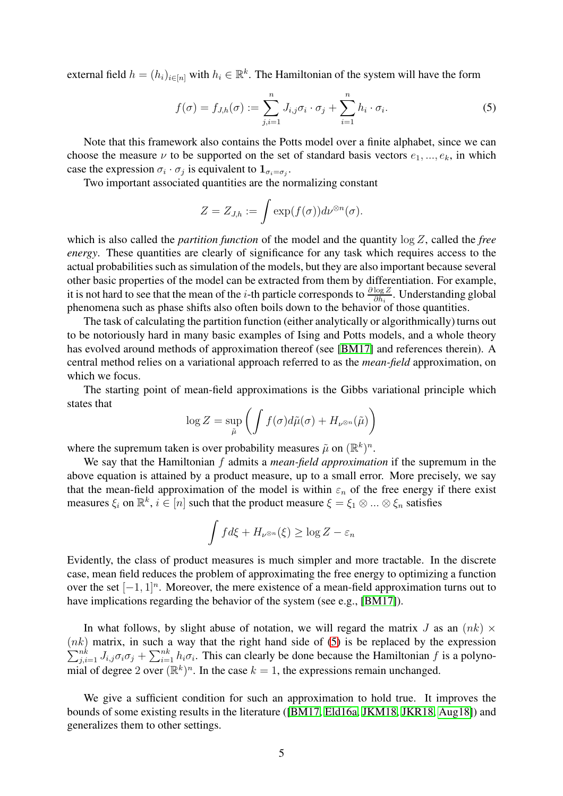external field  $h = (h_i)_{i \in [n]}$  with  $h_i \in \mathbb{R}^k$ . The Hamiltonian of the system will have the form

<span id="page-4-0"></span>
$$
f(\sigma) = f_{J,h}(\sigma) := \sum_{j,i=1}^n J_{i,j} \sigma_i \cdot \sigma_j + \sum_{i=1}^n h_i \cdot \sigma_i.
$$
 (5)

Note that this framework also contains the Potts model over a finite alphabet, since we can choose the measure  $\nu$  to be supported on the set of standard basis vectors  $e_1, ..., e_k$ , in which case the expression  $\sigma_i \cdot \sigma_j$  is equivalent to  $1_{\sigma_i = \sigma_j}$ .

Two important associated quantities are the normalizing constant

$$
Z = Z_{J,h} := \int \exp(f(\sigma)) d\nu^{\otimes n}(\sigma).
$$

which is also called the *partition function* of the model and the quantity log Z, called the *free energy*. These quantities are clearly of significance for any task which requires access to the actual probabilities such as simulation of the models, but they are also important because several other basic properties of the model can be extracted from them by differentiation. For example, it is not hard to see that the mean of the *i*-th particle corresponds to  $\frac{\partial \log Z}{\partial h_i}$ . Understanding global phenomena such as phase shifts also often boils down to the behavior of those quantities.

The task of calculating the partition function (either analytically or algorithmically) turns out to be notoriously hard in many basic examples of Ising and Potts models, and a whole theory has evolved around methods of approximation thereof (see [\[BM17\]](#page-14-4) and references therein). A central method relies on a variational approach referred to as the *mean-field* approximation, on which we focus.

The starting point of mean-field approximations is the Gibbs variational principle which states that

$$
\log Z = \sup_{\tilde{\mu}} \left( \int f(\sigma) d\tilde{\mu}(\sigma) + H_{\nu^{\otimes n}}(\tilde{\mu}) \right)
$$

where the supremum taken is over probability measures  $\tilde{\mu}$  on  $(\mathbb{R}^k)^n$ .

We say that the Hamiltonian f admits a *mean-field approximation* if the supremum in the above equation is attained by a product measure, up to a small error. More precisely, we say that the mean-field approximation of the model is within  $\varepsilon_n$  of the free energy if there exist measures  $\xi_i$  on  $\mathbb{R}^k$ ,  $i \in [n]$  such that the product measure  $\xi = \xi_1 \otimes ... \otimes \xi_n$  satisfies

$$
\int f d\xi + H_{\nu^{\otimes n}}(\xi) \ge \log Z - \varepsilon_n
$$

Evidently, the class of product measures is much simpler and more tractable. In the discrete case, mean field reduces the problem of approximating the free energy to optimizing a function over the set  $[-1, 1]^n$ . Moreover, the mere existence of a mean-field approximation turns out to have implications regarding the behavior of the system (see e.g., [\[BM17\]](#page-14-4)).

In what follows, by slight abuse of notation, we will regard the matrix J as an  $(nk) \times$  $\sum$  $(nk)$  matrix, in such a way that the right hand side of [\(5\)](#page-4-0) is be replaced by the expression  $\sum_{j,i=1}^{nk} J_{i,j} \sigma_i \sigma_j + \sum_{i=1}^{nk} h_i \sigma_i$ . This can clearly be done because the Hamiltonian f is a polynomial of degree 2 over  $(\mathbb{R}^k)^n$ . In the case  $k = 1$ , the expressions remain unchanged.

We give a sufficient condition for such an approximation to hold true. It improves the bounds of some existing results in the literature ([\[BM17,](#page-14-4) [Eld16a,](#page-15-6) [JKM18,](#page-15-8) [JKR18,](#page-15-0) [Aug18\]](#page-14-5)) and generalizes them to other settings.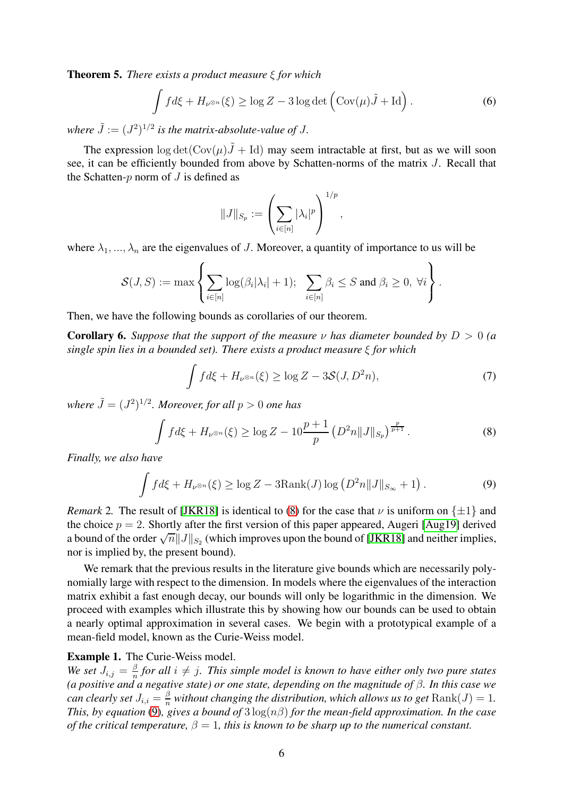<span id="page-5-2"></span>Theorem 5. *There exists a product measure* ξ *for which*

<span id="page-5-4"></span>
$$
\int f d\xi + H_{\nu^{\otimes n}}(\xi) \ge \log Z - 3 \log \det \left( \text{Cov}(\mu) \tilde{J} + \text{Id} \right). \tag{6}
$$

where  $\tilde{J} := (J^2)^{1/2}$  is the matrix-absolute-value of J.

The expression  $\log \det(\text{Cov}(\mu)\tilde{J} + \text{Id})$  may seem intractable at first, but as we will soon see, it can be efficiently bounded from above by Schatten-norms of the matrix J. Recall that the Schatten- $p$  norm of  $J$  is defined as

$$
||J||_{S_p} := \left(\sum_{i \in [n]} |\lambda_i|^p\right)^{1/p},
$$

where  $\lambda_1, ..., \lambda_n$  are the eigenvalues of J. Moreover, a quantity of importance to us will be

$$
\mathcal{S}(J,S) := \max \left\{ \sum_{i \in [n]} \log(\beta_i |\lambda_i| + 1); \sum_{i \in [n]} \beta_i \leq S \text{ and } \beta_i \geq 0, \ \forall i \right\}.
$$

Then, we have the following bounds as corollaries of our theorem.

<span id="page-5-3"></span>**Corollary 6.** *Suppose that the support of the measure*  $\nu$  *has diameter bounded by*  $D > 0$  *(a single spin lies in a bounded set). There exists a product measure* ξ *for which*

<span id="page-5-5"></span>
$$
\int f d\xi + H_{\nu^{\otimes n}}(\xi) \ge \log Z - 3\mathcal{S}(J, D^2 n),\tag{7}
$$

where  $\tilde{J} = (J^2)^{1/2}$ *. Moreover, for all*  $p > 0$  *one has* 

<span id="page-5-0"></span>
$$
\int f d\xi + H_{\nu^{\otimes n}}(\xi) \ge \log Z - 10 \frac{p+1}{p} \left( D^2 n \| J \|_{S_p} \right)^{\frac{p}{p+1}}.
$$
 (8)

*Finally, we also have*

<span id="page-5-1"></span>
$$
\int f d\xi + H_{\nu^{\otimes n}}(\xi) \ge \log Z - 3\text{Rank}(J) \log \left( D^2 n \| J \|_{S_{\infty}} + 1 \right). \tag{9}
$$

*Remark* 2. The result of [\[JKR18\]](#page-15-0) is identical to [\(8\)](#page-5-0) for the case that  $\nu$  is uniform on  $\{\pm 1\}$  and the choice  $p = 2$ . Shortly after the first version of this paper appeared, Augeri [\[Aug19\]](#page-14-6) derived a bound of the order  $\sqrt{n}||J||_{S_2}$  (which improves upon the bound of [\[JKR18\]](#page-15-0) and neither implies, nor is implied by, the present bound).

We remark that the previous results in the literature give bounds which are necessarily polynomially large with respect to the dimension. In models where the eigenvalues of the interaction matrix exhibit a fast enough decay, our bounds will only be logarithmic in the dimension. We proceed with examples which illustrate this by showing how our bounds can be used to obtain a nearly optimal approximation in several cases. We begin with a prototypical example of a mean-field model, known as the Curie-Weiss model.

#### Example 1. The Curie-Weiss model.

We set  $J_{i,j} = \frac{\beta}{n}$  $\frac{\beta}{n}$  for all  $i \neq j$ . This simple model is known to have either only two pure states *(a positive and a negative state) or one state, depending on the magnitude of* β*. In this case we can clearly set*  $J_{i,i} = \frac{\beta}{n}$  $\frac{\beta}{n}$  without changing the distribution, which allows us to get  $\mathrm{Rank}(J)=1$ . *This, by equation* [\(9\)](#page-5-1)*, gives a bound of* 3 log(nβ) *for the mean-field approximation. In the case of the critical temperature,*  $\beta = 1$ , this is known to be sharp up to the numerical constant.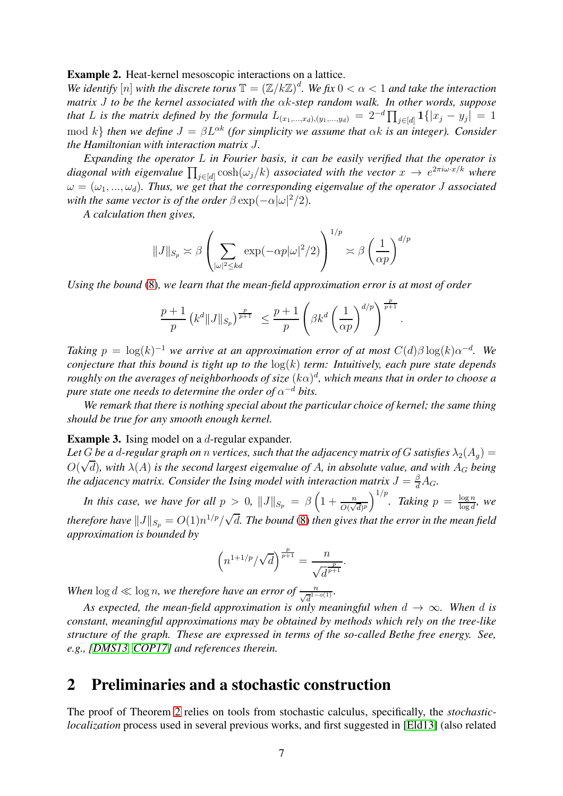#### Example 2. Heat-kernel mesoscopic interactions on a lattice.

We identify  $[n]$  with the discrete torus  $\mathbb{T} = (\mathbb{Z}/k\mathbb{Z})^d$ . We fix  $0 < \alpha < 1$  and take the interaction *matrix* J *to be the kernel associated with the* αk*-step random walk. In other words, suppose that* L is the matrix defined by the formula  $L_{(x_1,...,x_d),(y_1,...,y_d)} = 2^{-d} \prod_{j \in [d]} \mathbf{1}\{|x_j - y_j| = 1\}$ mod k} *then we define*  $J = \beta L^{\alpha k}$  *(for simplicity we assume that*  $\alpha k$  *is an integer). Consider the Hamiltonian with interaction matrix* J*.*

*Expanding the operator* L *in Fourier basis, it can be easily verified that the operator is* diagonal with eigenvalue  $\prod_{j\in[d]} \cosh(\omega_j/k)$  associated with the vector  $x \to e^{2\pi i \omega \cdot x/k}$  where  $\omega = (\omega_1, ..., \omega_d)$ . Thus, we get that the corresponding eigenvalue of the operator J associated *with the same vector is of the order*  $\beta \exp(-\alpha |\omega|^2/2)$ *.* 

*A calculation then gives,*

$$
||J||_{S_p} \asymp \beta \left( \sum_{|\omega|^2 \le kd} \exp(-\alpha p |\omega|^2/2) \right)^{1/p} \asymp \beta \left( \frac{1}{\alpha p} \right)^{d/p}
$$

*Using the bound* [\(8\)](#page-5-0)*, we learn that the mean-field approximation error is at most of order*

$$
\frac{p+1}{p} (k^d ||J||_{S_p})^{\frac{p}{p+1}} \leq \frac{p+1}{p} \left(\beta k^d \left(\frac{1}{\alpha p}\right)^{d/p}\right)^{\frac{p}{p+1}}.
$$

*Taking*  $p = \log(k)^{-1}$  *we arrive at an approximation error of at most*  $C(d)\beta \log(k) \alpha^{-d}$ . We *conjecture that this bound is tight up to the* log(k) *term: Intuitively, each pure state depends*  $r$ oughly on the averages of neighborhoods of size  $(k\alpha)^d$ , which means that in order to choose a pure state one needs to determine the order of  $\alpha^{-d}$  bits.

*We remark that there is nothing special about the particular choice of kernel; the same thing should be true for any smooth enough kernel.*

Example 3. Ising model on a *d*-regular expander.

Let *G* be a *d*-regular graph on *n* vertices, such that the adjacency matrix of *G* satisfies  $\lambda_2(A_q)$  =  $O(\sqrt{d})$ *, with*  $\lambda(A)$  *is the second largest eigenvalue of* A, *in absolute value, and with*  $A_G$  *being* the adjacency matrix. Consider the Ising model with interaction matrix  $J=\frac{\beta}{d}A_G.$ 

*In this case, we have for all*  $p > 0$ ,  $||J||_{S_p} = \beta \left(1 + \frac{n}{O(\sqrt{d})^p}\right)^{1/p}$ . *Taking*  $p = \frac{\log n}{\log d}$  $\frac{\log n}{\log d}, \, \,$  we *therefore have*  $||J||_{S_p} = O(1)n^{1/p}/\sqrt{d}$ . The bound [\(8\)](#page-5-0) then gives that the error in the mean field *approximation is bounded by*

$$
\left(n^{1+1/p}/\sqrt{d}\right)^{\frac{p}{p+1}}=\frac{n}{\sqrt{d}^{\frac{p}{p+1}}}
$$

.

When  $\log d \ll \log n$ , we therefore have an error of  $\frac{n}{\sqrt{d}^{1-o(1)}}$ .

*As expected, the mean-field approximation is only meaningful when*  $d \rightarrow \infty$ *. When* d *is constant, meaningful approximations may be obtained by methods which rely on the tree-like structure of the graph. These are expressed in terms of the so-called Bethe free energy. See, e.g., [\[DMS13,](#page-15-9) [COP17\]](#page-15-1) and references therein.*

### <span id="page-6-0"></span>2 Preliminaries and a stochastic construction

The proof of Theorem [2](#page-2-0) relies on tools from stochastic calculus, specifically, the *stochasticlocalization* process used in several previous works, and first suggested in [\[Eld13\]](#page-15-10) (also related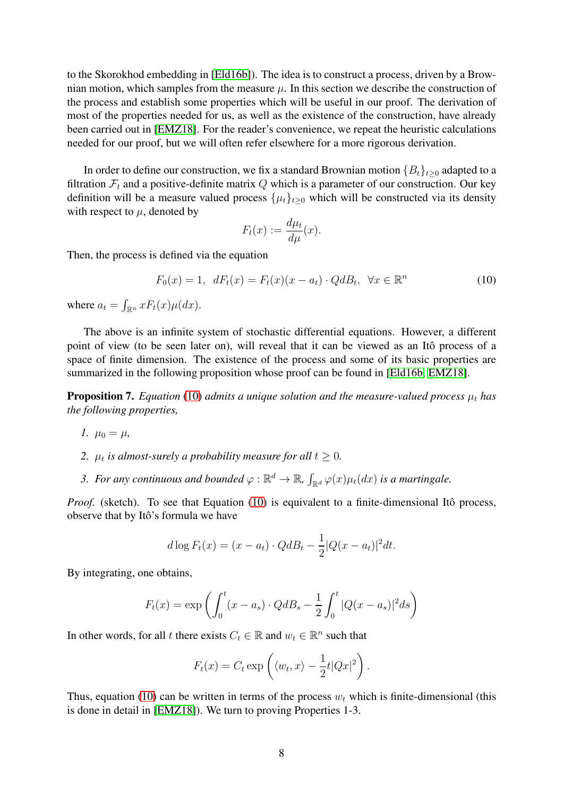to the Skorokhod embedding in [\[Eld16b\]](#page-15-11)). The idea is to construct a process, driven by a Brownian motion, which samples from the measure  $\mu$ . In this section we describe the construction of the process and establish some properties which will be useful in our proof. The derivation of most of the properties needed for us, as well as the existence of the construction, have already been carried out in [\[EMZ18\]](#page-15-12). For the reader's convenience, we repeat the heuristic calculations needed for our proof, but we will often refer elsewhere for a more rigorous derivation.

In order to define our construction, we fix a standard Brownian motion  ${B_t}_{t\geq0}$  adapted to a filtration  $\mathcal{F}_t$  and a positive-definite matrix Q which is a parameter of our construction. Our key definition will be a measure valued process  $\{\mu_t\}_{t>0}$  which will be constructed via its density with respect to  $\mu$ , denoted by

$$
F_t(x) := \frac{d\mu_t}{d\mu}(x).
$$

Then, the process is defined via the equation

<span id="page-7-0"></span>
$$
F_0(x) = 1, \quad dF_t(x) = F_t(x)(x - a_t) \cdot QdB_t, \quad \forall x \in \mathbb{R}^n
$$
\n
$$
(10)
$$

where  $a_t = \int_{\mathbb{R}^n} x F_t(x) \mu(dx)$ .

The above is an infinite system of stochastic differential equations. However, a different point of view (to be seen later on), will reveal that it can be viewed as an Itô process of a space of finite dimension. The existence of the process and some of its basic properties are summarized in the following proposition whose proof can be found in [\[Eld16b,](#page-15-11) [EMZ18\]](#page-15-12).

<span id="page-7-1"></span>**Proposition 7.** *Equation* [\(10\)](#page-7-0) *admits a unique solution and the measure-valued process*  $\mu_t$  *has the following properties,*

- *1.*  $\mu_0 = \mu$ ,
- 2.  $\mu_t$  is almost-surely a probability measure for all  $t \geq 0$ .
- 3. For any continuous and bounded  $\varphi : \mathbb{R}^d \to \mathbb{R}$ ,  $\int_{\mathbb{R}^d} \varphi(x) \mu_t(dx)$  is a martingale.

*Proof.* (sketch). To see that Equation [\(10\)](#page-7-0) is equivalent to a finite-dimensional Itô process, observe that by Itô's formula we have

$$
d \log F_t(x) = (x - a_t) \cdot Q d B_t - \frac{1}{2} |Q(x - a_t)|^2 dt.
$$

By integrating, one obtains,

$$
F_t(x) = \exp \left( \int_0^t (x - a_s) \cdot Q dB_s - \frac{1}{2} \int_0^t |Q(x - a_s)|^2 ds \right)
$$

In other words, for all t there exists  $C_t \in \mathbb{R}$  and  $w_t \in \mathbb{R}^n$  such that

$$
F_t(x) = C_t \exp\left(\langle w_t, x \rangle - \frac{1}{2}t|Qx|^2\right).
$$

Thus, equation [\(10\)](#page-7-0) can be written in terms of the process  $w_t$  which is finite-dimensional (this is done in detail in [\[EMZ18\]](#page-15-12)). We turn to proving Properties 1-3.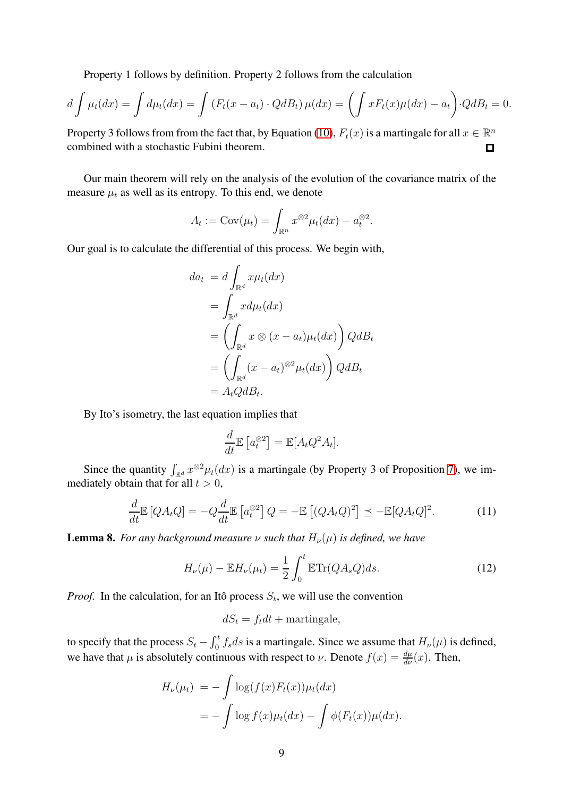Property 1 follows by definition. Property 2 follows from the calculation

$$
d\int \mu_t(dx) = \int d\mu_t(dx) = \int \left( F_t(x - a_t) \cdot Q dB_t \right) \mu(dx) = \left( \int x F_t(x) \mu(dx) - a_t \right) \cdot Q dB_t = 0.
$$

Property 3 follows from from the fact that, by Equation [\(10\)](#page-7-0),  $F_t(x)$  is a martingale for all  $x \in \mathbb{R}^n$ combined with a stochastic Fubini theorem.

Our main theorem will rely on the analysis of the evolution of the covariance matrix of the measure  $\mu_t$  as well as its entropy. To this end, we denote

$$
A_t := \text{Cov}(\mu_t) = \int_{\mathbb{R}^n} x^{\otimes 2} \mu_t(dx) - a_t^{\otimes 2}.
$$

Our goal is to calculate the differential of this process. We begin with,

$$
da_t = d \int_{\mathbb{R}^d} x \mu_t(dx)
$$
  
= 
$$
\int_{\mathbb{R}^d} x d\mu_t(dx)
$$
  
= 
$$
\left( \int_{\mathbb{R}^d} x \otimes (x - a_t) \mu_t(dx) \right) Q dB_t
$$
  
= 
$$
\left( \int_{\mathbb{R}^d} (x - a_t)^{\otimes 2} \mu_t(dx) \right) Q dB_t
$$
  
= 
$$
A_t Q dB_t.
$$

By Ito's isometry, the last equation implies that

$$
\frac{d}{dt}\mathbb{E}\left[a_t^{\otimes 2}\right] = \mathbb{E}[A_t Q^2 A_t].
$$

Since the quantity  $\int_{\mathbb{R}^d} x^{\otimes 2} \mu_t(dx)$  is a martingale (by Property 3 of Proposition [7\)](#page-7-1), we immediately obtain that for all  $t > 0$ ,

<span id="page-8-0"></span>
$$
\frac{d}{dt}\mathbb{E}\left[QA_tQ\right] = -Q\frac{d}{dt}\mathbb{E}\left[a_t^{\otimes 2}\right]Q = -\mathbb{E}\left[(QA_tQ)^2\right] \preceq -\mathbb{E}[QA_tQ]^2.
$$
\n(11)

**Lemma 8.** *For any background measure*  $\nu$  *such that*  $H_{\nu}(\mu)$  *is defined, we have* 

<span id="page-8-1"></span>
$$
H_{\nu}(\mu) - \mathbb{E}H_{\nu}(\mu_t) = \frac{1}{2} \int_0^t \mathbb{E} \text{Tr}(QA_s Q) ds.
$$
 (12)

*Proof.* In the calculation, for an Itô process  $S_t$ , we will use the convention

 $dS_t = f_t dt +$  martingale,

to specify that the process  $S_t - \int_0^t f_s ds$  is a martingale. Since we assume that  $H_\nu(\mu)$  is defined, we have that  $\mu$  is absolutely continuous with respect to  $\nu$ . Denote  $f(x) = \frac{d\mu}{d\nu}(x)$ . Then,

$$
H_{\nu}(\mu_t) = -\int \log(f(x)F_t(x))\mu_t(dx)
$$
  
= 
$$
-\int \log f(x)\mu_t(dx) - \int \phi(F_t(x))\mu(dx).
$$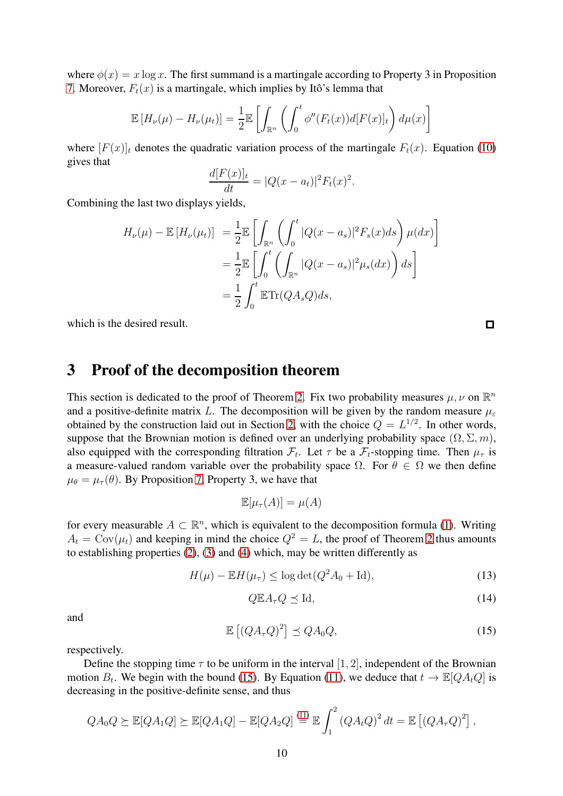where  $\phi(x) = x \log x$ . The first summand is a martingale according to Property 3 in Proposition [7.](#page-7-1) Moreover,  $F_t(x)$  is a martingale, which implies by Itô's lemma that

$$
\mathbb{E}\left[H_{\nu}(\mu) - H_{\nu}(\mu_t)\right] = \frac{1}{2} \mathbb{E}\left[\int_{\mathbb{R}^n} \left(\int_0^t \phi''(F_t(x))d[F(x)]_t\right) d\mu(x)\right]
$$

where  $[F(x)]_t$  denotes the quadratic variation process of the martingale  $F_t(x)$ . Equation [\(10\)](#page-7-0) gives that

$$
\frac{d[F(x)]_t}{dt} = |Q(x - a_t)|^2 F_t(x)^2.
$$

Combining the last two displays yields,

$$
H_{\nu}(\mu) - \mathbb{E}\left[H_{\nu}(\mu_t)\right] = \frac{1}{2} \mathbb{E}\left[\int_{\mathbb{R}^n} \left(\int_0^t |Q(x - a_s)|^2 F_s(x) ds\right) \mu(dx)\right]
$$
  

$$
= \frac{1}{2} \mathbb{E}\left[\int_0^t \left(\int_{\mathbb{R}^n} |Q(x - a_s)|^2 \mu_s(dx)\right) ds\right]
$$
  

$$
= \frac{1}{2} \int_0^t \mathbb{E} \text{Tr}(QA_sQ)ds,
$$

which is the desired result.

## 3 Proof of the decomposition theorem

This section is dedicated to the proof of Theorem [2.](#page-2-0) Fix two probability measures  $\mu, \nu$  on  $\mathbb{R}^n$ and a positive-definite matrix L. The decomposition will be given by the random measure  $\mu_{\varepsilon}$ obtained by the construction laid out in Section [2,](#page-6-0) with the choice  $Q = L^{1/2}$ . In other words, suppose that the Brownian motion is defined over an underlying probability space  $(\Omega, \Sigma, m)$ , also equipped with the corresponding filtration  $\mathcal{F}_t$ . Let  $\tau$  be a  $\mathcal{F}_t$ -stopping time. Then  $\mu_{\tau}$  is a measure-valued random variable over the probability space  $\Omega$ . For  $\theta \in \Omega$  we then define  $\mu_{\theta} = \mu_{\tau}(\theta)$ . By Proposition [7,](#page-7-1) Property 3, we have that

$$
\mathbb{E}[\mu_{\tau}(A)] = \mu(A)
$$

for every measurable  $A \subset \mathbb{R}^n$ , which is equivalent to the decomposition formula [\(1\)](#page-2-1). Writing  $A_t = \text{Cov}(\mu_t)$  and keeping in mind the choice  $Q^2 = L$ , the proof of Theorem [2](#page-2-0) thus amounts to establishing properties [\(2\)](#page-2-2), [\(3\)](#page-2-3) and [\(4\)](#page-2-4) which, may be written differently as

<span id="page-9-2"></span>
$$
H(\mu) - \mathbb{E}H(\mu_{\tau}) \le \log \det(Q^2 A_0 + \mathrm{Id}),\tag{13}
$$

<span id="page-9-1"></span>
$$
Q \mathbb{E} A_{\tau} Q \preceq \text{Id},\tag{14}
$$

and

<span id="page-9-0"></span>
$$
\mathbb{E}\left[\left(QA_{\tau}Q\right)^{2}\right] \leq Q A_{0} Q, \tag{15}
$$

respectively.

Define the stopping time  $\tau$  to be uniform in the interval [1, 2], independent of the Brownian motion  $B_t$ . We begin with the bound [\(15\)](#page-9-0). By Equation [\(11\)](#page-8-0), we deduce that  $t \to \mathbb{E}[QA_tQ]$  is decreasing in the positive-definite sense, and thus

$$
QA_0Q \succeq \mathbb{E}[QA_1Q] \succeq \mathbb{E}[QA_1Q] - \mathbb{E}[QA_2Q] \stackrel{(11)}{=} \mathbb{E}\int_1^2 (QA_tQ)^2 dt = \mathbb{E}\left[ (QA_\tau Q)^2 \right],
$$

 $\Box$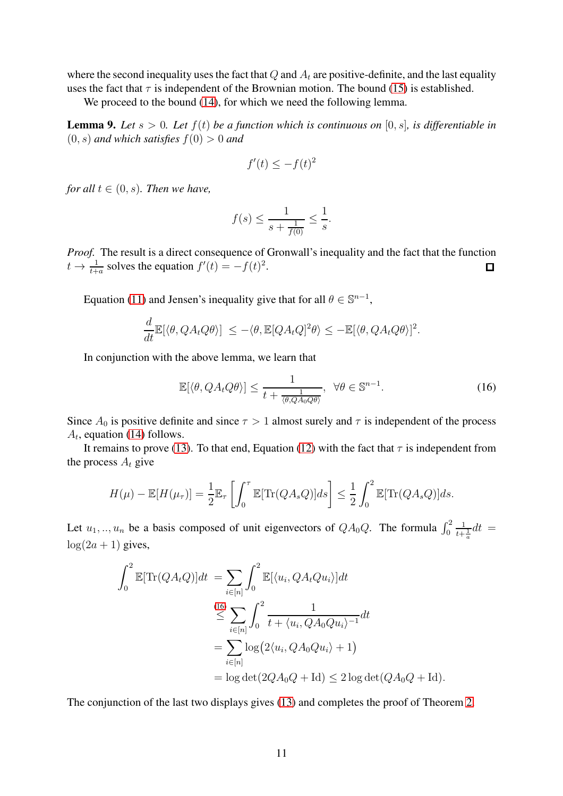where the second inequality uses the fact that  $Q$  and  $A_t$  are positive-definite, and the last equality uses the fact that  $\tau$  is independent of the Brownian motion. The bound [\(15\)](#page-9-0) is established.

We proceed to the bound  $(14)$ , for which we need the following lemma.

**Lemma 9.** Let  $s > 0$ . Let  $f(t)$  be a function which is continuous on [0, s], is differentiable in  $(0, s)$  *and which satisfies*  $f(0) > 0$  *and* 

$$
f'(t) \le -f(t)^2
$$

*for all*  $t \in (0, s)$ *. Then we have,* 

$$
f(s) \le \frac{1}{s + \frac{1}{f(0)}} \le \frac{1}{s}.
$$

*Proof.* The result is a direct consequence of Gronwall's inequality and the fact that the function  $t \to \frac{1}{t+a}$  solves the equation  $f'(t) = -f(t)^2$ .  $\Box$ 

Equation [\(11\)](#page-8-0) and Jensen's inequality give that for all  $\theta \in \mathbb{S}^{n-1}$ ,

$$
\frac{d}{dt}\mathbb{E}[\langle \theta, QA_tQ\theta \rangle] \le -\langle \theta, \mathbb{E}[QA_tQ]^2\theta \rangle \le -\mathbb{E}[\langle \theta, QA_tQ\theta \rangle]^2.
$$

In conjunction with the above lemma, we learn that

<span id="page-10-0"></span>
$$
\mathbb{E}[\langle \theta, QA_t Q\theta \rangle] \le \frac{1}{t + \frac{1}{\langle \theta, QA_0 Q\theta \rangle}}, \ \forall \theta \in \mathbb{S}^{n-1}.
$$
 (16)

Since  $A_0$  is positive definite and since  $\tau > 1$  almost surely and  $\tau$  is independent of the process  $A_t$ , equation [\(14\)](#page-9-1) follows.

It remains to prove [\(13\)](#page-9-2). To that end, Equation [\(12\)](#page-8-1) with the fact that  $\tau$  is independent from the process  $A_t$  give

$$
H(\mu) - \mathbb{E}[H(\mu_{\tau})] = \frac{1}{2} \mathbb{E}_{\tau} \left[ \int_0^{\tau} \mathbb{E}[\text{Tr}(QA_sQ)]ds \right] \leq \frac{1}{2} \int_0^2 \mathbb{E}[\text{Tr}(QA_sQ)]ds.
$$

Let  $u_1, \ldots, u_n$  be a basis composed of unit eigenvectors of  $QA_0Q$ . The formula  $\int_0^2$  $\frac{1}{t+\frac{1}{a}}dt =$  $log(2a + 1)$  gives,

$$
\int_0^2 \mathbb{E}[\text{Tr}(QA_tQ)]dt = \sum_{i \in [n]} \int_0^2 \mathbb{E}[\langle u_i, QA_tQu_i \rangle]dt
$$
  

$$
\stackrel{(16)}{\leq} \sum_{i \in [n]} \int_0^2 \frac{1}{t + \langle u_i, QA_0Qu_i \rangle^{-1}} dt
$$
  

$$
= \sum_{i \in [n]} \log(2\langle u_i, QA_0Qu_i \rangle + 1)
$$
  

$$
= \log \det(2QA_0Q + \text{Id}) \leq 2 \log \det(QA_0Q + \text{Id}).
$$

The conjunction of the last two displays gives [\(13\)](#page-9-2) and completes the proof of Theorem [2.](#page-2-0)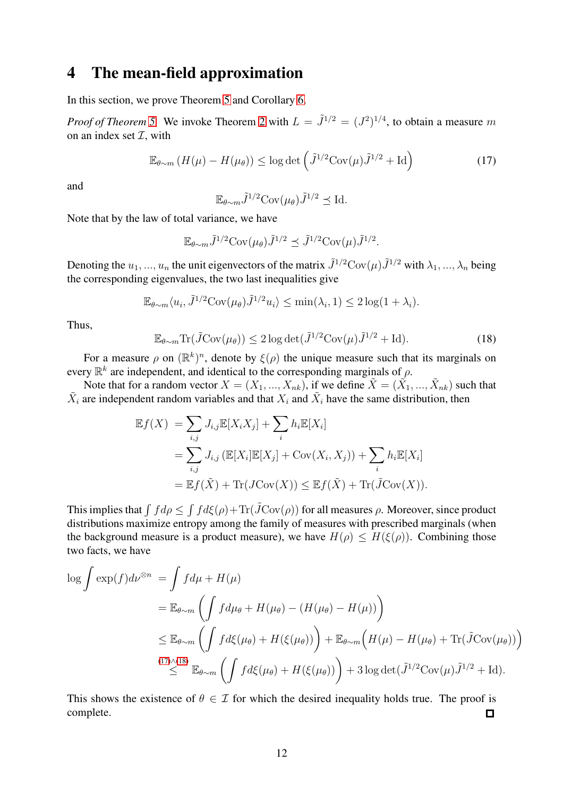### 4 The mean-field approximation

In this section, we prove Theorem [5](#page-5-2) and Corollary [6.](#page-5-3)

*Proof of Theorem [5.](#page-5-2)* We invoke Theorem [2](#page-2-0) with  $L = \tilde{J}^{1/2} = (J^2)^{1/4}$ , to obtain a measure m on an index set  $\mathcal{I}$ , with

<span id="page-11-0"></span>
$$
\mathbb{E}_{\theta \sim m} \left( H(\mu) - H(\mu_{\theta}) \right) \le \log \det \left( \tilde{J}^{1/2} \text{Cov}(\mu) \tilde{J}^{1/2} + \text{Id} \right) \tag{17}
$$

and

$$
\mathbb{E}_{\theta \sim m} \tilde{J}^{1/2} \text{Cov}(\mu_{\theta}) \tilde{J}^{1/2} \preceq \text{Id}.
$$

Note that by the law of total variance, we have

$$
\mathbb{E}_{\theta \sim m} \tilde{J}^{1/2} \text{Cov}(\mu_{\theta}) \tilde{J}^{1/2} \preceq \tilde{J}^{1/2} \text{Cov}(\mu) \tilde{J}^{1/2}.
$$

Denoting the  $u_1, ..., u_n$  the unit eigenvectors of the matrix  $\tilde{J}^{1/2}Cov(\mu)\tilde{J}^{1/2}$  with  $\lambda_1, ..., \lambda_n$  being the corresponding eigenvalues, the two last inequalities give

$$
\mathbb{E}_{\theta \sim m} \langle u_i, \tilde{J}^{1/2} \text{Cov}(\mu_\theta) \tilde{J}^{1/2} u_i \rangle \le \min(\lambda_i, 1) \le 2 \log(1 + \lambda_i).
$$

Thus,

<span id="page-11-1"></span>
$$
\mathbb{E}_{\theta \sim m} \text{Tr}(\tilde{J} \text{Cov}(\mu_{\theta})) \le 2 \log \det(\tilde{J}^{1/2} \text{Cov}(\mu) \tilde{J}^{1/2} + \text{Id}). \tag{18}
$$

For a measure  $\rho$  on  $(\mathbb{R}^k)^n$ , denote by  $\xi(\rho)$  the unique measure such that its marginals on every  $\mathbb{R}^k$  are independent, and identical to the corresponding marginals of  $\rho$ .

Note that for a random vector  $X = (X_1, ..., X_{nk})$ , if we define  $\tilde{X} = (\tilde{X_1}, ..., \tilde{X}_{nk})$  such that  $\tilde{X}_i$  are independent random variables and that  $X_i$  and  $\tilde{X}_i$  have the same distribution, then

$$
\mathbb{E}f(X) = \sum_{i,j} J_{i,j} \mathbb{E}[X_i X_j] + \sum_i h_i \mathbb{E}[X_i]
$$
  
= 
$$
\sum_{i,j} J_{i,j} (\mathbb{E}[X_i] \mathbb{E}[X_j] + \text{Cov}(X_i, X_j)) + \sum_i h_i \mathbb{E}[X_i]
$$
  
= 
$$
\mathbb{E}f(\tilde{X}) + \text{Tr}(J\text{Cov}(X)) \leq \mathbb{E}f(\tilde{X}) + \text{Tr}(\tilde{J}\text{Cov}(X)).
$$

This implies that  $\int f d\rho \le \int f d\xi(\rho) + \text{Tr}(\tilde{J}\text{Cov}(\rho))$  for all measures  $\rho$ . Moreover, since product distributions maximize entropy among the family of measures with prescribed marginals (when the background measure is a product measure), we have  $H(\rho) \leq H(\xi(\rho))$ . Combining those two facts, we have

$$
\log \int \exp(f) d\nu^{\otimes n} = \int f d\mu + H(\mu)
$$
  
=  $\mathbb{E}_{\theta \sim m} \left( \int f d\mu_{\theta} + H(\mu_{\theta}) - (H(\mu_{\theta}) - H(\mu)) \right)$   
 $\leq \mathbb{E}_{\theta \sim m} \left( \int f d\xi(\mu_{\theta}) + H(\xi(\mu_{\theta})) \right) + \mathbb{E}_{\theta \sim m} \left( H(\mu) - H(\mu_{\theta}) + \text{Tr}(\tilde{J} \text{Cov}(\mu_{\theta})) \right)$   
 $\leq$ <sup>(17) \land (18)</sup>  $\mathbb{E}_{\theta \sim m} \left( \int f d\xi(\mu_{\theta}) + H(\xi(\mu_{\theta})) \right) + 3 \log \det(\tilde{J}^{1/2} \text{Cov}(\mu) \tilde{J}^{1/2} + \text{Id}).$ 

This shows the existence of  $\theta \in \mathcal{I}$  for which the desired inequality holds true. The proof is complete. complete.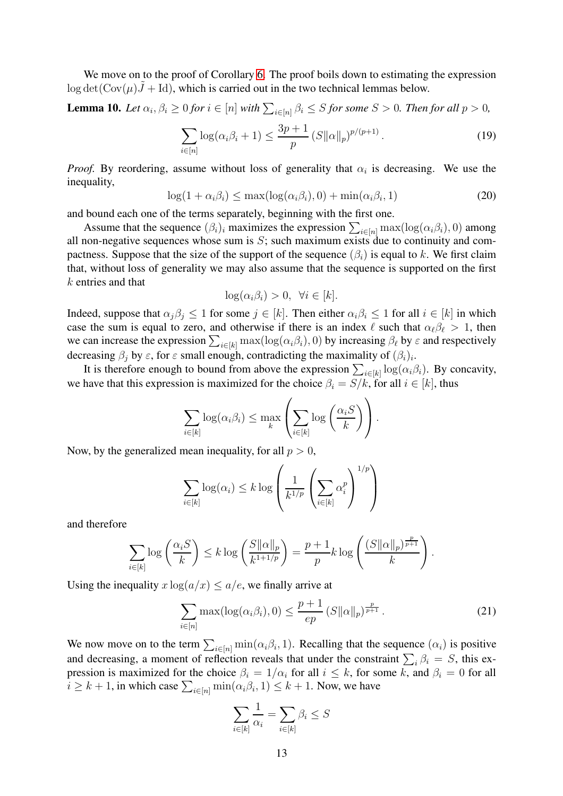We move on to the proof of Corollary [6.](#page-5-3) The proof boils down to estimating the expression  $\log \det(\text{Cov}(\mu)\tilde{J} + \text{Id})$ , which is carried out in the two technical lemmas below.

<span id="page-12-2"></span>**Lemma 10.** Let 
$$
\alpha_i, \beta_i \ge 0
$$
 for  $i \in [n]$  with  $\sum_{i \in [n]} \beta_i \le S$  for some  $S > 0$ . Then for all  $p > 0$ ,

$$
\sum_{i \in [n]} \log(\alpha_i \beta_i + 1) \le \frac{3p + 1}{p} \left( S \|\alpha\|_p \right)^{p/(p+1)}.
$$
 (19)

*Proof.* By reordering, assume without loss of generality that  $\alpha_i$  is decreasing. We use the inequality,

<span id="page-12-0"></span>
$$
\log(1 + \alpha_i \beta_i) \le \max(\log(\alpha_i \beta_i), 0) + \min(\alpha_i \beta_i, 1)
$$
\n(20)

and bound each one of the terms separately, beginning with the first one.

Assume that the sequence  $(\beta_i)_i$  maximizes the expression  $\sum_{i \in [n]} \max(\log(\alpha_i \beta_i), 0)$  among all non-negative sequences whose sum is  $S$ ; such maximum exists due to continuity and compactness. Suppose that the size of the support of the sequence  $(\beta_i)$  is equal to k. We first claim that, without loss of generality we may also assume that the sequence is supported on the first k entries and that

$$
\log(\alpha_i \beta_i) > 0, \ \forall i \in [k].
$$

Indeed, suppose that  $\alpha_j \beta_j \leq 1$  for some  $j \in [k]$ . Then either  $\alpha_i \beta_i \leq 1$  for all  $i \in [k]$  in which case the sum is equal to zero, and otherwise if there is an index  $\ell$  such that  $\alpha_\ell \beta_\ell > 1$ , then we can increase the expression  $\sum_{i\in[k]} \max(\log(\alpha_i\beta_i), 0)$  by increasing  $\beta_\ell$  by  $\varepsilon$  and respectively decreasing  $\beta_j$  by  $\varepsilon$ , for  $\varepsilon$  small enough, contradicting the maximality of  $(\beta_i)_i$ .

It is therefore enough to bound from above the expression  $\sum_{i \in [k]} \log(\alpha_i \beta_i)$ . By concavity, we have that this expression is maximized for the choice  $\beta_i = S/k$ , for all  $i \in [k]$ , thus

$$
\sum_{i \in [k]} \log(\alpha_i \beta_i) \leq \max_k \left( \sum_{i \in [k]} \log \left( \frac{\alpha_i S}{k} \right) \right).
$$

Now, by the generalized mean inequality, for all  $p > 0$ ,

$$
\sum_{i \in [k]} \log(\alpha_i) \leq k \log \left( \frac{1}{k^{1/p}} \left( \sum_{i \in [k]} \alpha_i^p \right)^{1/p} \right)
$$

and therefore

$$
\sum_{i\in[k]} \log\left(\frac{\alpha_i S}{k}\right) \le k \log\left(\frac{S\|\alpha\|_p}{k^{1+1/p}}\right) = \frac{p+1}{p} k \log\left(\frac{(S\|\alpha\|_p)^{\frac{p}{p+1}}}{k}\right).
$$

Using the inequality  $x \log(a/x) \le a/e$ , we finally arrive at

<span id="page-12-1"></span>
$$
\sum_{i\in[n]} \max(\log(\alpha_i \beta_i), 0) \le \frac{p+1}{ep} \left( S \|\alpha\|_p \right)^{\frac{p}{p+1}}.
$$
 (21)

We now move on to the term  $\sum_{i \in [n]} \min(\alpha_i \beta_i, 1)$ . Recalling that the sequence  $(\alpha_i)$  is positive and decreasing, a moment of reflection reveals that under the constraint  $\sum_i \beta_i = S$ , this expression is maximized for the choice  $\beta_i = 1/\alpha_i$  for all  $i \leq k$ , for some k, and  $\beta_i = 0$  for all  $i \geq k+1$ , in which case  $\sum_{i \in [n]} \min(\alpha_i \beta_i, 1) \leq k+1$ . Now, we have

$$
\sum_{i \in [k]} \frac{1}{\alpha_i} = \sum_{i \in [k]} \beta_i \le S
$$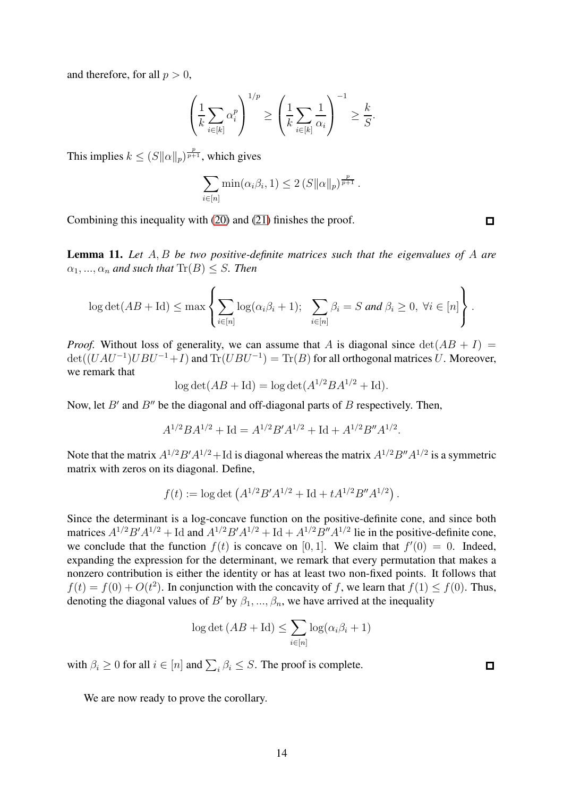and therefore, for all  $p > 0$ ,

$$
\left(\frac{1}{k}\sum_{i\in[k]}\alpha_i^p\right)^{1/p} \ge \left(\frac{1}{k}\sum_{i\in[k]}\frac{1}{\alpha_i}\right)^{-1} \ge \frac{k}{S}.
$$

This implies  $k \leq (S||\alpha||_p)^{\frac{p}{p+1}}$ , which gives

$$
\sum_{i\in[n]} \min(\alpha_i\beta_i, 1) \leq 2 (S||\alpha||_p)^{\frac{p}{p+1}}.
$$

Combining this inequality with [\(20\)](#page-12-0) and [\(21\)](#page-12-1) finishes the proof.

<span id="page-13-0"></span>Lemma 11. *Let* A, B *be two positive-definite matrices such that the eigenvalues of* A *are*  $\alpha_1, \ldots, \alpha_n$  and such that  $\text{Tr}(B) \leq S$ . Then

$$
\log \det(AB + \mathrm{Id}) \le \max \left\{ \sum_{i \in [n]} \log(\alpha_i \beta_i + 1); \sum_{i \in [n]} \beta_i = S \text{ and } \beta_i \ge 0, \ \forall i \in [n] \right\}.
$$

*Proof.* Without loss of generality, we can assume that A is diagonal since  $\det(AB + I)$  $\det((UAU^{-1})UBU^{-1}+I)$  and  $\text{Tr}(UBU^{-1}) = \text{Tr}(B)$  for all orthogonal matrices U. Moreover, we remark that

$$
\log \det(AB + \mathrm{Id}) = \log \det(A^{1/2}BA^{1/2} + \mathrm{Id}).
$$

Now, let  $B'$  and  $B''$  be the diagonal and off-diagonal parts of  $B$  respectively. Then,

$$
A^{1/2}BA^{1/2} + \text{Id} = A^{1/2}B'A^{1/2} + \text{Id} + A^{1/2}B''A^{1/2}.
$$

Note that the matrix  $A^{1/2}B'A^{1/2} + \text{Id}$  is diagonal whereas the matrix  $A^{1/2}B''A^{1/2}$  is a symmetric matrix with zeros on its diagonal. Define,

$$
f(t) := \log \det \left( A^{1/2} B' A^{1/2} + \mathrm{Id} + t A^{1/2} B'' A^{1/2} \right).
$$

Since the determinant is a log-concave function on the positive-definite cone, and since both matrices  $A^{1/2}B'A^{1/2}$  + Id and  $A^{1/2}B'A^{1/2}$  + Id +  $A^{1/2}B''A^{1/2}$  lie in the positive-definite cone, we conclude that the function  $f(t)$  is concave on [0, 1]. We claim that  $f'(0) = 0$ . Indeed, expanding the expression for the determinant, we remark that every permutation that makes a nonzero contribution is either the identity or has at least two non-fixed points. It follows that  $f(t) = f(0) + O(t^2)$ . In conjunction with the concavity of f, we learn that  $f(1) \le f(0)$ . Thus, denoting the diagonal values of B' by  $\beta_1, ..., \beta_n$ , we have arrived at the inequality

$$
\log \det (AB + \mathrm{Id}) \le \sum_{i \in [n]} \log (\alpha_i \beta_i + 1)
$$

with  $\beta_i \geq 0$  for all  $i \in [n]$  and  $\sum_i \beta_i \leq S$ . The proof is complete.

 $\Box$ 

We are now ready to prove the corollary.

 $\Box$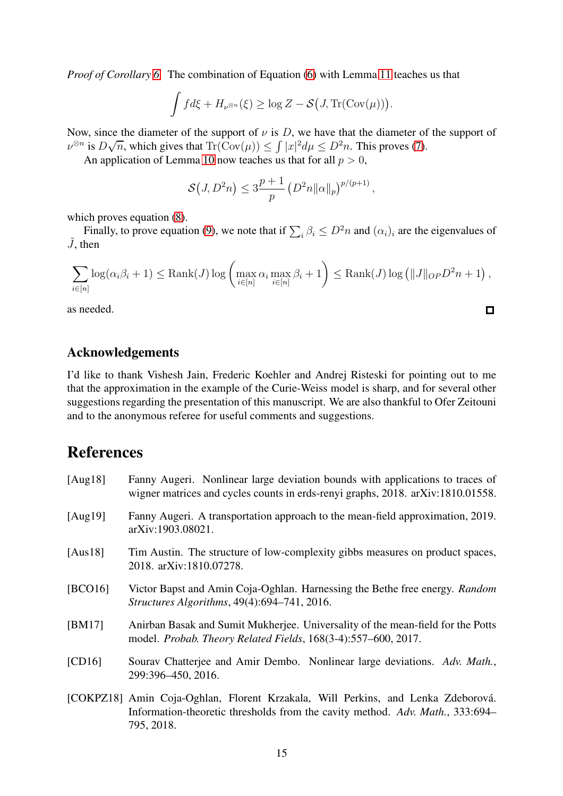*Proof of Corollary [6.](#page-5-3)* The combination of Equation [\(6\)](#page-5-4) with Lemma [11](#page-13-0) teaches us that

$$
\int f d\xi + H_{\nu^{\otimes n}}(\xi) \ge \log Z - \mathcal{S}(J, \text{Tr}(\text{Cov}(\mu)))
$$

.

 $\Box$ 

Now, since the diameter of the support of  $\nu$  is D, we have that the diameter of the support of  $\nu^{\otimes n}$  is  $D\sqrt{n}$ , which gives that  $\text{Tr}(\text{Cov}(\mu)) \leq \int |x|^2 d\mu \leq D^2n$ . This proves [\(7\)](#page-5-5).

An application of Lemma [10](#page-12-2) now teaches us that for all  $p > 0$ ,

$$
\mathcal{S}(J, D^2n) \leq 3\frac{p+1}{p} \left( D^2n ||\alpha||_p \right)^{p/(p+1)},
$$

which proves equation [\(8\)](#page-5-0).

Finally, to prove equation [\(9\)](#page-5-1), we note that if  $\sum_i \beta_i \leq D^2 n$  and  $(\alpha_i)_i$  are the eigenvalues of  $\tilde{J}$ , then

$$
\sum_{i\in[n]}\log(\alpha_i\beta_i+1)\leq \text{Rank}(J)\log\left(\max_{i\in[n]}\alpha_i\max_{i\in[n]}\beta_i+1\right)\leq \text{Rank}(J)\log\left(\|J\|_{OP}D^2n+1\right),
$$

as needed.

#### Acknowledgements

I'd like to thank Vishesh Jain, Frederic Koehler and Andrej Risteski for pointing out to me that the approximation in the example of the Curie-Weiss model is sharp, and for several other suggestions regarding the presentation of this manuscript. We are also thankful to Ofer Zeitouni and to the anonymous referee for useful comments and suggestions.

### References

<span id="page-14-4"></span><span id="page-14-3"></span><span id="page-14-1"></span>795, 2018.

<span id="page-14-6"></span><span id="page-14-5"></span><span id="page-14-2"></span><span id="page-14-0"></span>[Aug18] Fanny Augeri. Nonlinear large deviation bounds with applications to traces of wigner matrices and cycles counts in erds-renyi graphs, 2018. arXiv:1810.01558. [Aug19] Fanny Augeri. A transportation approach to the mean-field approximation, 2019. arXiv:1903.08021. [Aus18] Tim Austin. The structure of low-complexity gibbs measures on product spaces, 2018. arXiv:1810.07278. [BCO16] Victor Bapst and Amin Coja-Oghlan. Harnessing the Bethe free energy. *Random Structures Algorithms*, 49(4):694–741, 2016. [BM17] Anirban Basak and Sumit Mukherjee. Universality of the mean-field for the Potts model. *Probab. Theory Related Fields*, 168(3-4):557–600, 2017. [CD16] Sourav Chatterjee and Amir Dembo. Nonlinear large deviations. *Adv. Math.*, 299:396–450, 2016. [COKPZ18] Amin Coja-Oghlan, Florent Krzakala, Will Perkins, and Lenka Zdeborová. Information-theoretic thresholds from the cavity method. *Adv. Math.*, 333:694–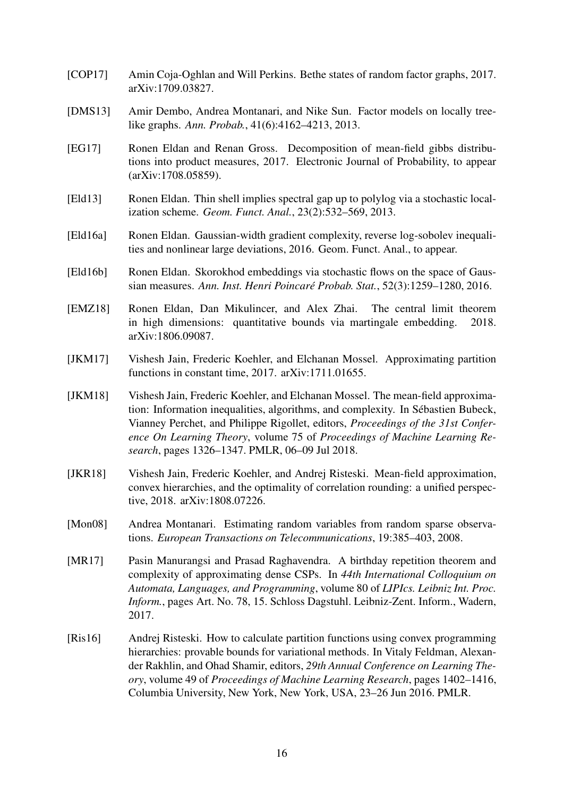- <span id="page-15-1"></span>[COP17] Amin Coja-Oghlan and Will Perkins. Bethe states of random factor graphs, 2017. arXiv:1709.03827.
- <span id="page-15-9"></span>[DMS13] Amir Dembo, Andrea Montanari, and Nike Sun. Factor models on locally treelike graphs. *Ann. Probab.*, 41(6):4162–4213, 2013.
- <span id="page-15-7"></span>[EG17] Ronen Eldan and Renan Gross. Decomposition of mean-field gibbs distributions into product measures, 2017. Electronic Journal of Probability, to appear (arXiv:1708.05859).
- <span id="page-15-10"></span>[Eld13] Ronen Eldan. Thin shell implies spectral gap up to polylog via a stochastic localization scheme. *Geom. Funct. Anal.*, 23(2):532–569, 2013.
- <span id="page-15-6"></span>[Eld16a] Ronen Eldan. Gaussian-width gradient complexity, reverse log-sobolev inequalities and nonlinear large deviations, 2016. Geom. Funct. Anal., to appear.
- <span id="page-15-11"></span>[Eld16b] Ronen Eldan. Skorokhod embeddings via stochastic flows on the space of Gaussian measures. *Ann. Inst. Henri Poincare Probab. Stat. ´* , 52(3):1259–1280, 2016.
- <span id="page-15-12"></span>[EMZ18] Ronen Eldan, Dan Mikulincer, and Alex Zhai. The central limit theorem in high dimensions: quantitative bounds via martingale embedding. 2018. arXiv:1806.09087.
- <span id="page-15-5"></span>[JKM17] Vishesh Jain, Frederic Koehler, and Elchanan Mossel. Approximating partition functions in constant time, 2017. arXiv:1711.01655.
- <span id="page-15-8"></span>[JKM18] Vishesh Jain, Frederic Koehler, and Elchanan Mossel. The mean-field approximation: Information inequalities, algorithms, and complexity. In Sébastien Bubeck, Vianney Perchet, and Philippe Rigollet, editors, *Proceedings of the 31st Conference On Learning Theory*, volume 75 of *Proceedings of Machine Learning Research*, pages 1326–1347. PMLR, 06–09 Jul 2018.
- <span id="page-15-0"></span>[JKR18] Vishesh Jain, Frederic Koehler, and Andrej Risteski. Mean-field approximation, convex hierarchies, and the optimality of correlation rounding: a unified perspective, 2018. arXiv:1808.07226.
- <span id="page-15-3"></span>[Mon08] Andrea Montanari. Estimating random variables from random sparse observations. *European Transactions on Telecommunications*, 19:385–403, 2008.
- <span id="page-15-2"></span>[MR17] Pasin Manurangsi and Prasad Raghavendra. A birthday repetition theorem and complexity of approximating dense CSPs. In *44th International Colloquium on Automata, Languages, and Programming*, volume 80 of *LIPIcs. Leibniz Int. Proc. Inform.*, pages Art. No. 78, 15. Schloss Dagstuhl. Leibniz-Zent. Inform., Wadern, 2017.
- <span id="page-15-4"></span>[Ris16] Andrej Risteski. How to calculate partition functions using convex programming hierarchies: provable bounds for variational methods. In Vitaly Feldman, Alexander Rakhlin, and Ohad Shamir, editors, *29th Annual Conference on Learning Theory*, volume 49 of *Proceedings of Machine Learning Research*, pages 1402–1416, Columbia University, New York, New York, USA, 23–26 Jun 2016. PMLR.